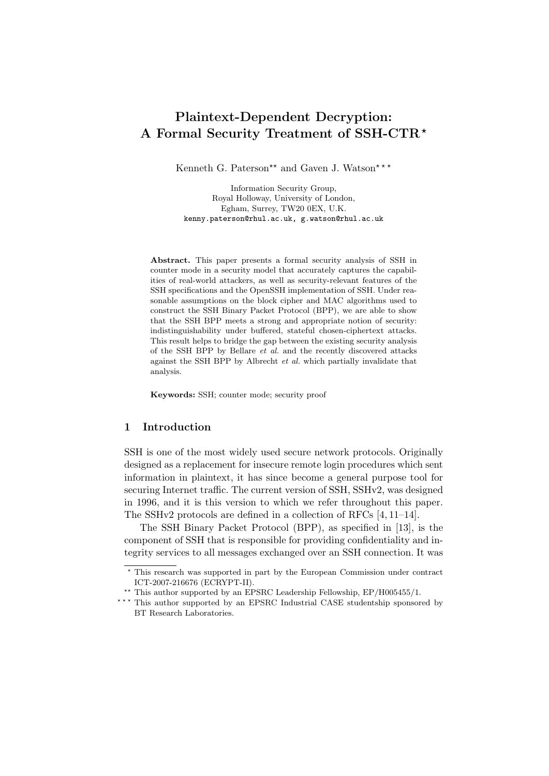# **Plaintext-Dependent Decryption: A Formal Security Treatment of SSH-CTR***<sup>⋆</sup>*

Kenneth G. Paterson<sup>\*\*</sup> and Gaven J. Watson<sup>\*\*\*</sup>

Information Security Group, Royal Holloway, University of London, Egham, Surrey, TW20 0EX, U.K. kenny.paterson@rhul.ac.uk, g.watson@rhul.ac.uk

**Abstract.** This paper presents a formal security analysis of SSH in counter mode in a security model that accurately captures the capabilities of real-world attackers, as well as security-relevant features of the SSH specifications and the OpenSSH implementation of SSH. Under reasonable assumptions on the block cipher and MAC algorithms used to construct the SSH Binary Packet Protocol (BPP), we are able to show that the SSH BPP meets a strong and appropriate notion of security: indistinguishability under buffered, stateful chosen-ciphertext attacks. This result helps to bridge the gap between the existing security analysis of the SSH BPP by Bellare *et al.* and the recently discovered attacks against the SSH BPP by Albrecht *et al.* which partially invalidate that analysis.

**Keywords:** SSH; counter mode; security proof

# **1 Introduction**

SSH is one of the most widely used secure network protocols. Originally designed as a replacement for insecure remote login procedures which sent information in plaintext, it has since become a general purpose tool for securing Internet traffic. The current version of SSH, SSHv2, was designed in 1996, and it is this version to which we refer throughout this paper. The SSHv2 protocols are defined in a collection of RFCs [4, 11–14].

The SSH Binary Packet Protocol (BPP), as specified in [13], is the component of SSH that is responsible for providing confidentiality and integrity services to all messages exchanged over an SSH connection. It was

*<sup>⋆</sup>* This research was supported in part by the European Commission under contract ICT-2007-216676 (ECRYPT-II).

*<sup>⋆⋆</sup>* This author supported by an EPSRC Leadership Fellowship, EP/H005455/1.

<sup>\*\*\*</sup> This author supported by an EPSRC Industrial CASE studentship sponsored by BT Research Laboratories.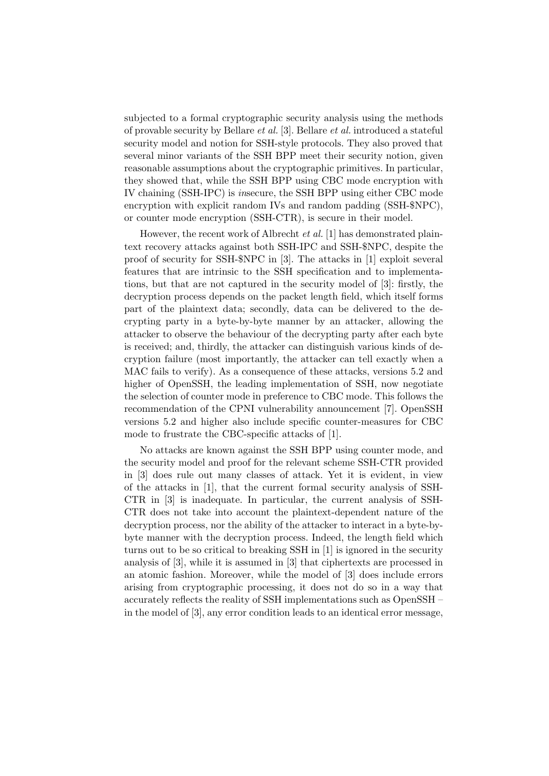subjected to a formal cryptographic security analysis using the methods of provable security by Bellare *et al.* [3]. Bellare *et al.* introduced a stateful security model and notion for SSH-style protocols. They also proved that several minor variants of the SSH BPP meet their security notion, given reasonable assumptions about the cryptographic primitives. In particular, they showed that, while the SSH BPP using CBC mode encryption with IV chaining (SSH-IPC) is *in*secure, the SSH BPP using either CBC mode encryption with explicit random IVs and random padding (SSH-\$NPC), or counter mode encryption (SSH-CTR), is secure in their model.

However, the recent work of Albrecht *et al.* [1] has demonstrated plaintext recovery attacks against both SSH-IPC and SSH-\$NPC, despite the proof of security for SSH-\$NPC in [3]. The attacks in [1] exploit several features that are intrinsic to the SSH specification and to implementations, but that are not captured in the security model of [3]: firstly, the decryption process depends on the packet length field, which itself forms part of the plaintext data; secondly, data can be delivered to the decrypting party in a byte-by-byte manner by an attacker, allowing the attacker to observe the behaviour of the decrypting party after each byte is received; and, thirdly, the attacker can distinguish various kinds of decryption failure (most importantly, the attacker can tell exactly when a MAC fails to verify). As a consequence of these attacks, versions 5.2 and higher of OpenSSH, the leading implementation of SSH, now negotiate the selection of counter mode in preference to CBC mode. This follows the recommendation of the CPNI vulnerability announcement [7]. OpenSSH versions 5.2 and higher also include specific counter-measures for CBC mode to frustrate the CBC-specific attacks of [1].

No attacks are known against the SSH BPP using counter mode, and the security model and proof for the relevant scheme SSH-CTR provided in [3] does rule out many classes of attack. Yet it is evident, in view of the attacks in [1], that the current formal security analysis of SSH-CTR in [3] is inadequate. In particular, the current analysis of SSH-CTR does not take into account the plaintext-dependent nature of the decryption process, nor the ability of the attacker to interact in a byte-bybyte manner with the decryption process. Indeed, the length field which turns out to be so critical to breaking SSH in [1] is ignored in the security analysis of [3], while it is assumed in [3] that ciphertexts are processed in an atomic fashion. Moreover, while the model of [3] does include errors arising from cryptographic processing, it does not do so in a way that accurately reflects the reality of SSH implementations such as OpenSSH – in the model of [3], any error condition leads to an identical error message,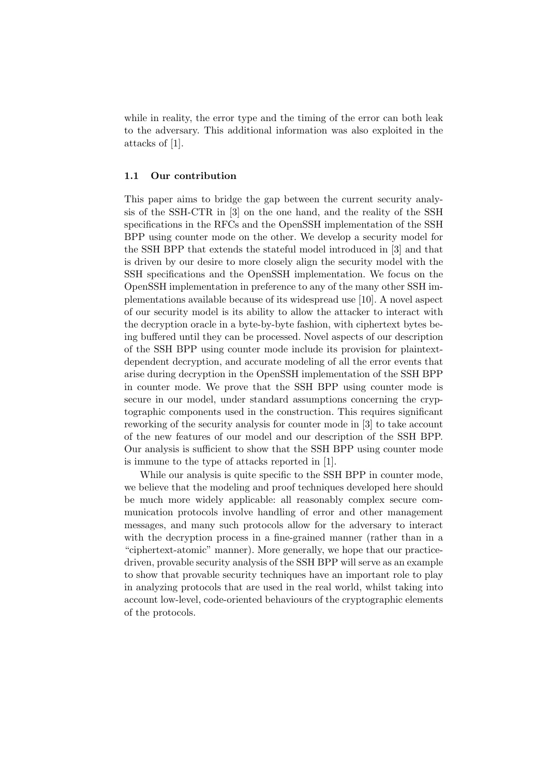while in reality, the error type and the timing of the error can both leak to the adversary. This additional information was also exploited in the attacks of [1].

# **1.1 Our contribution**

This paper aims to bridge the gap between the current security analysis of the SSH-CTR in [3] on the one hand, and the reality of the SSH specifications in the RFCs and the OpenSSH implementation of the SSH BPP using counter mode on the other. We develop a security model for the SSH BPP that extends the stateful model introduced in [3] and that is driven by our desire to more closely align the security model with the SSH specifications and the OpenSSH implementation. We focus on the OpenSSH implementation in preference to any of the many other SSH implementations available because of its widespread use [10]. A novel aspect of our security model is its ability to allow the attacker to interact with the decryption oracle in a byte-by-byte fashion, with ciphertext bytes being buffered until they can be processed. Novel aspects of our description of the SSH BPP using counter mode include its provision for plaintextdependent decryption, and accurate modeling of all the error events that arise during decryption in the OpenSSH implementation of the SSH BPP in counter mode. We prove that the SSH BPP using counter mode is secure in our model, under standard assumptions concerning the cryptographic components used in the construction. This requires significant reworking of the security analysis for counter mode in [3] to take account of the new features of our model and our description of the SSH BPP. Our analysis is sufficient to show that the SSH BPP using counter mode is immune to the type of attacks reported in [1].

While our analysis is quite specific to the SSH BPP in counter mode, we believe that the modeling and proof techniques developed here should be much more widely applicable: all reasonably complex secure communication protocols involve handling of error and other management messages, and many such protocols allow for the adversary to interact with the decryption process in a fine-grained manner (rather than in a "ciphertext-atomic" manner). More generally, we hope that our practicedriven, provable security analysis of the SSH BPP will serve as an example to show that provable security techniques have an important role to play in analyzing protocols that are used in the real world, whilst taking into account low-level, code-oriented behaviours of the cryptographic elements of the protocols.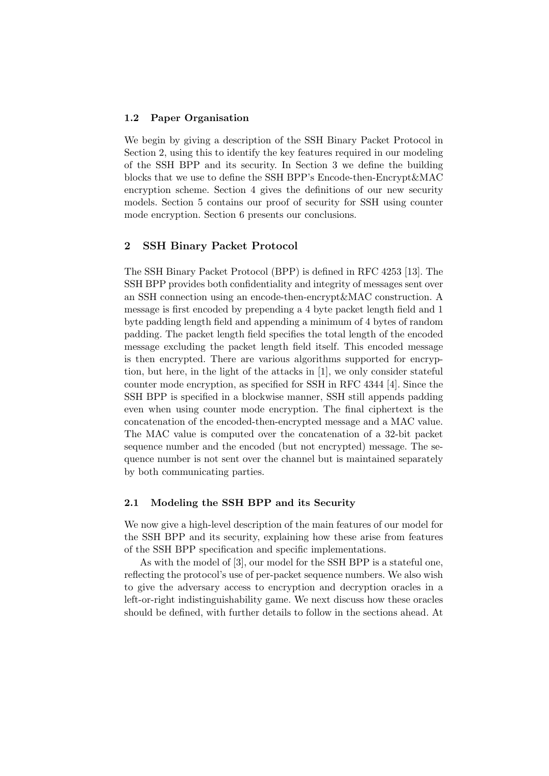# **1.2 Paper Organisation**

We begin by giving a description of the SSH Binary Packet Protocol in Section 2, using this to identify the key features required in our modeling of the SSH BPP and its security. In Section 3 we define the building blocks that we use to define the SSH BPP's Encode-then-Encrypt&MAC encryption scheme. Section 4 gives the definitions of our new security models. Section 5 contains our proof of security for SSH using counter mode encryption. Section 6 presents our conclusions.

# **2 SSH Binary Packet Protocol**

The SSH Binary Packet Protocol (BPP) is defined in RFC 4253 [13]. The SSH BPP provides both confidentiality and integrity of messages sent over an SSH connection using an encode-then-encrypt&MAC construction. A message is first encoded by prepending a 4 byte packet length field and 1 byte padding length field and appending a minimum of 4 bytes of random padding. The packet length field specifies the total length of the encoded message excluding the packet length field itself. This encoded message is then encrypted. There are various algorithms supported for encryption, but here, in the light of the attacks in [1], we only consider stateful counter mode encryption, as specified for SSH in RFC 4344 [4]. Since the SSH BPP is specified in a blockwise manner, SSH still appends padding even when using counter mode encryption. The final ciphertext is the concatenation of the encoded-then-encrypted message and a MAC value. The MAC value is computed over the concatenation of a 32-bit packet sequence number and the encoded (but not encrypted) message. The sequence number is not sent over the channel but is maintained separately by both communicating parties.

# **2.1 Modeling the SSH BPP and its Security**

We now give a high-level description of the main features of our model for the SSH BPP and its security, explaining how these arise from features of the SSH BPP specification and specific implementations.

As with the model of [3], our model for the SSH BPP is a stateful one, reflecting the protocol's use of per-packet sequence numbers. We also wish to give the adversary access to encryption and decryption oracles in a left-or-right indistinguishability game. We next discuss how these oracles should be defined, with further details to follow in the sections ahead. At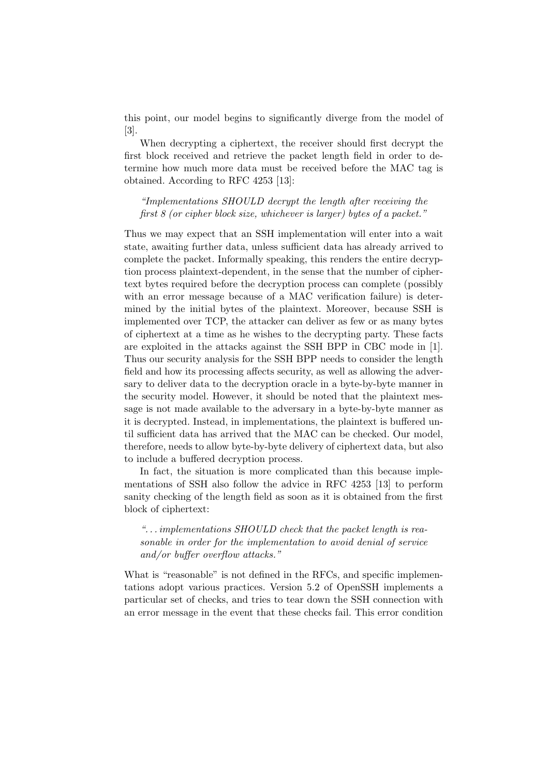this point, our model begins to significantly diverge from the model of [3].

When decrypting a ciphertext, the receiver should first decrypt the first block received and retrieve the packet length field in order to determine how much more data must be received before the MAC tag is obtained. According to RFC 4253 [13]:

*"Implementations SHOULD decrypt the length after receiving the first 8 (or cipher block size, whichever is larger) bytes of a packet."*

Thus we may expect that an SSH implementation will enter into a wait state, awaiting further data, unless sufficient data has already arrived to complete the packet. Informally speaking, this renders the entire decryption process plaintext-dependent, in the sense that the number of ciphertext bytes required before the decryption process can complete (possibly with an error message because of a MAC verification failure) is determined by the initial bytes of the plaintext. Moreover, because SSH is implemented over TCP, the attacker can deliver as few or as many bytes of ciphertext at a time as he wishes to the decrypting party. These facts are exploited in the attacks against the SSH BPP in CBC mode in [1]. Thus our security analysis for the SSH BPP needs to consider the length field and how its processing affects security, as well as allowing the adversary to deliver data to the decryption oracle in a byte-by-byte manner in the security model. However, it should be noted that the plaintext message is not made available to the adversary in a byte-by-byte manner as it is decrypted. Instead, in implementations, the plaintext is buffered until sufficient data has arrived that the MAC can be checked. Our model, therefore, needs to allow byte-by-byte delivery of ciphertext data, but also to include a buffered decryption process.

In fact, the situation is more complicated than this because implementations of SSH also follow the advice in RFC 4253 [13] to perform sanity checking of the length field as soon as it is obtained from the first block of ciphertext:

*". . . implementations SHOULD check that the packet length is reasonable in order for the implementation to avoid denial of service and/or buffer overflow attacks."*

What is "reasonable" is not defined in the RFCs, and specific implementations adopt various practices. Version 5.2 of OpenSSH implements a particular set of checks, and tries to tear down the SSH connection with an error message in the event that these checks fail. This error condition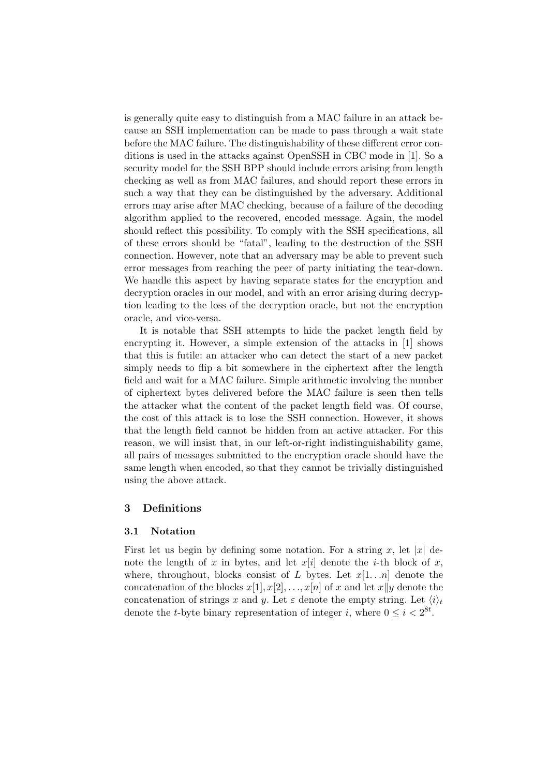is generally quite easy to distinguish from a MAC failure in an attack because an SSH implementation can be made to pass through a wait state before the MAC failure. The distinguishability of these different error conditions is used in the attacks against OpenSSH in CBC mode in [1]. So a security model for the SSH BPP should include errors arising from length checking as well as from MAC failures, and should report these errors in such a way that they can be distinguished by the adversary. Additional errors may arise after MAC checking, because of a failure of the decoding algorithm applied to the recovered, encoded message. Again, the model should reflect this possibility. To comply with the SSH specifications, all of these errors should be "fatal", leading to the destruction of the SSH connection. However, note that an adversary may be able to prevent such error messages from reaching the peer of party initiating the tear-down. We handle this aspect by having separate states for the encryption and decryption oracles in our model, and with an error arising during decryption leading to the loss of the decryption oracle, but not the encryption oracle, and vice-versa.

It is notable that SSH attempts to hide the packet length field by encrypting it. However, a simple extension of the attacks in [1] shows that this is futile: an attacker who can detect the start of a new packet simply needs to flip a bit somewhere in the ciphertext after the length field and wait for a MAC failure. Simple arithmetic involving the number of ciphertext bytes delivered before the MAC failure is seen then tells the attacker what the content of the packet length field was. Of course, the cost of this attack is to lose the SSH connection. However, it shows that the length field cannot be hidden from an active attacker. For this reason, we will insist that, in our left-or-right indistinguishability game, all pairs of messages submitted to the encryption oracle should have the same length when encoded, so that they cannot be trivially distinguished using the above attack.

# **3 Definitions**

#### **3.1 Notation**

First let us begin by defining some notation. For a string x, let  $|x|$  denote the length of  $x$  in bytes, and let  $x[i]$  denote the *i*-th block of  $x$ , where, throughout, blocks consist of *L* bytes. Let  $x[1...n]$  denote the concatenation of the blocks  $x[1], x[2], \ldots, x[n]$  of  $x$  and let  $x||y$  denote the concatenation of strings *x* and *y*. Let  $\varepsilon$  denote the empty string. Let  $\langle i \rangle_t$ denote the *t*-byte binary representation of integer *i*, where  $0 \le i < 2^{8t}$ .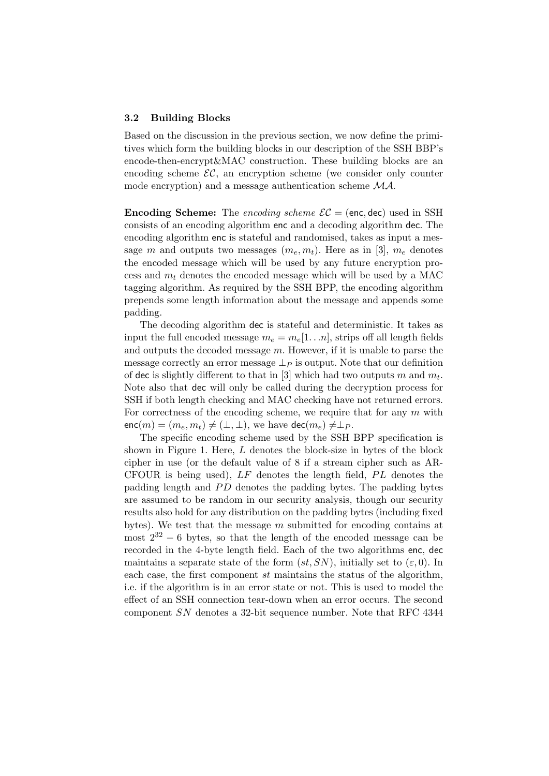#### **3.2 Building Blocks**

Based on the discussion in the previous section, we now define the primitives which form the building blocks in our description of the SSH BBP's encode-then-encrypt&MAC construction. These building blocks are an encoding scheme  $\mathcal{EC}$ , an encryption scheme (we consider only counter mode encryption) and a message authentication scheme *MA*.

**Encoding Scheme:** The *encoding scheme*  $\mathcal{EC} = (enc, dec)$  used in SSH consists of an encoding algorithm enc and a decoding algorithm dec. The encoding algorithm enc is stateful and randomised, takes as input a message *m* and outputs two messages  $(m_e, m_t)$ . Here as in [3],  $m_e$  denotes the encoded message which will be used by any future encryption process and  $m_t$  denotes the encoded message which will be used by a MAC tagging algorithm. As required by the SSH BPP, the encoding algorithm prepends some length information about the message and appends some padding.

The decoding algorithm dec is stateful and deterministic. It takes as input the full encoded message  $m_e = m_e[1...n]$ , strips off all length fields and outputs the decoded message *m*. However, if it is unable to parse the message correctly an error message *⊥<sup>P</sup>* is output. Note that our definition of dec is slightly different to that in  $[3]$  which had two outputs  $m$  and  $m_t$ . Note also that dec will only be called during the decryption process for SSH if both length checking and MAC checking have not returned errors. For correctness of the encoding scheme, we require that for any *m* with  $enc(m) = (m_e, m_t) \neq (\perp, \perp)$ , we have  $dec(m_e) \neq \perp_P$ .

The specific encoding scheme used by the SSH BPP specification is shown in Figure 1. Here, *L* denotes the block-size in bytes of the block cipher in use (or the default value of 8 if a stream cipher such as AR-CFOUR is being used), *LF* denotes the length field, *P L* denotes the padding length and *PD* denotes the padding bytes. The padding bytes are assumed to be random in our security analysis, though our security results also hold for any distribution on the padding bytes (including fixed bytes). We test that the message *m* submitted for encoding contains at most 2<sup>32</sup> *−* 6 bytes, so that the length of the encoded message can be recorded in the 4-byte length field. Each of the two algorithms enc, dec maintains a separate state of the form  $(st, SN)$ , initially set to  $(\varepsilon, 0)$ . In each case, the first component *st* maintains the status of the algorithm, i.e. if the algorithm is in an error state or not. This is used to model the effect of an SSH connection tear-down when an error occurs. The second component *SN* denotes a 32-bit sequence number. Note that RFC 4344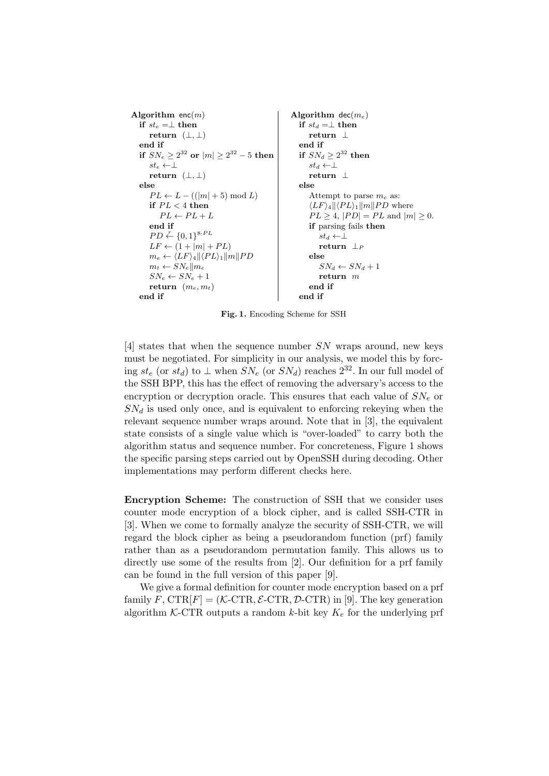```
Algorithm enc(m)
  if st_e = \perp then
     return (⊥, ⊥)
  end if
   if SNe ≥ 2
32 or |m| ≥ 2
32 − 5 then
      ste ←⊥
      return (⊥, ⊥)
  else
      PL \leftarrow L - ((|m| + 5) \mod L)\textbf{if}~PL < 4 then
         PL \leftarrow PL + Lend if
      PD \overset{r}{\leftarrow} \{0,1\}^{8 \cdot PL}LF \leftarrow (1 + |m| + PL)m_e \leftarrow \langle LF \rangle_4 \|\langle PL \rangle_1 \| m \| PDm_t \leftarrow SN_e \Vert m_e \VertSN_e \leftarrow SN_e + 1 (m_e, m_t)end if
                                                    Algorithm dec(me)
                                                       if std =⊥ then
                                                           return ⊥
                                                       end if
                                                        if SN_d \geq 2^{32} then
                                                           std ←⊥
                                                           return ⊥
                                                       else
                                                           Attempt to parse me as:
                                                           \langle LF \rangle_4\langle PL \rangle_1\|m\|PD where
                                                           PL \geq 4, |PD| = PL and |m| \geq 0.
                                                           if parsing fails then
                                                              std ←⊥
                                                              return ⊥P
                                                           else
                                                              SN_d \leftarrow SN_d + 1return m
                                                           end if
                                                       end if
```
**Fig. 1.** Encoding Scheme for SSH

[4] states that when the sequence number *SN* wraps around, new keys must be negotiated. For simplicity in our analysis, we model this by forcing  $st_e$  (or  $st_d$ ) to ⊥ when  $SN_e$  (or  $SN_d$ ) reaches  $2^{32}$ . In our full model of the SSH BPP, this has the effect of removing the adversary's access to the encryption or decryption oracle. This ensures that each value of *SN<sup>e</sup>* or  $SN<sub>d</sub>$  is used only once, and is equivalent to enforcing rekeying when the relevant sequence number wraps around. Note that in [3], the equivalent state consists of a single value which is "over-loaded" to carry both the algorithm status and sequence number. For concreteness, Figure 1 shows the specific parsing steps carried out by OpenSSH during decoding. Other implementations may perform different checks here.

**Encryption Scheme:** The construction of SSH that we consider uses counter mode encryption of a block cipher, and is called SSH-CTR in [3]. When we come to formally analyze the security of SSH-CTR, we will regard the block cipher as being a pseudorandom function (prf) family rather than as a pseudorandom permutation family. This allows us to directly use some of the results from [2]. Our definition for a prf family can be found in the full version of this paper [9].

We give a formal definition for counter mode encryption based on a prf family  $F$ ,  $\text{CTR}[F] = (K\text{-CTR}, \mathcal{E}\text{-CTR}, \mathcal{D}\text{-CTR})$  in [9]. The key generation algorithm *K*-CTR outputs a random *k*-bit key  $K_e$  for the underlying prf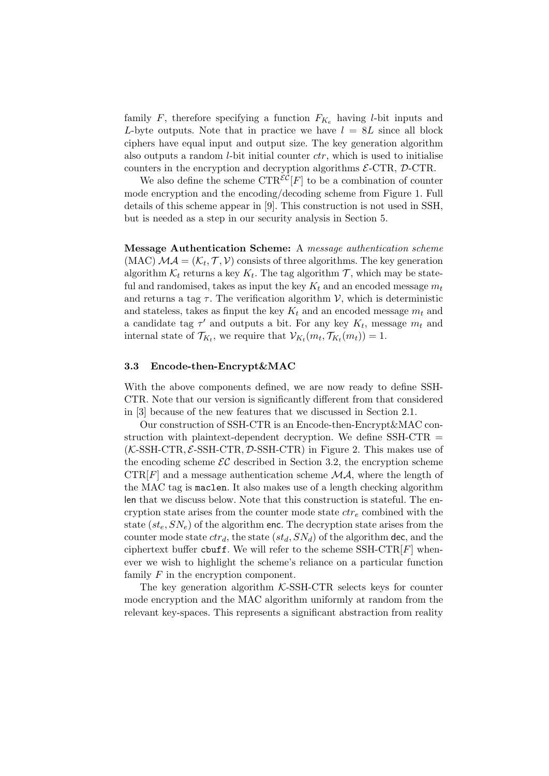family *F*, therefore specifying a function  $F_{K_e}$  having *l*-bit inputs and *L*-byte outputs. Note that in practice we have  $l = 8L$  since all block ciphers have equal input and output size. The key generation algorithm also outputs a random *l*-bit initial counter *ctr*, which is used to initialise counters in the encryption and decryption algorithms *E*-CTR, *D*-CTR.

We also define the scheme  $\text{CTR}^{\mathcal{EC}}[F]$  to be a combination of counter mode encryption and the encoding/decoding scheme from Figure 1. Full details of this scheme appear in [9]. This construction is not used in SSH, but is needed as a step in our security analysis in Section 5.

**Message Authentication Scheme:** A *message authentication scheme*  $(MAC) \mathcal{MA} = (\mathcal{K}_t, \mathcal{T}, \mathcal{V})$  consists of three algorithms. The key generation algorithm  $\mathcal{K}_t$  returns a key  $K_t$ . The tag algorithm  $\mathcal{T}$ , which may be stateful and randomised, takes as input the key  $K_t$  and an encoded message  $m_t$ and returns a tag  $\tau$ . The verification algorithm  $\mathcal{V}$ , which is deterministic and stateless, takes as finput the key  $K_t$  and an encoded message  $m_t$  and a candidate tag  $\tau'$  and outputs a bit. For any key  $K_t$ , message  $m_t$  and internal state of  $\mathcal{T}_{K_t}$ , we require that  $\mathcal{V}_{K_t}(m_t, \mathcal{T}_{K_t}(m_t)) = 1$ .

#### **3.3 Encode-then-Encrypt&MAC**

With the above components defined, we are now ready to define SSH-CTR. Note that our version is significantly different from that considered in [3] because of the new features that we discussed in Section 2.1.

Our construction of SSH-CTR is an Encode-then-Encrypt&MAC construction with plaintext-dependent decryption. We define SSH-CTR = (*K*-SSH-CTR*, E*-SSH-CTR*, D*-SSH-CTR) in Figure 2. This makes use of the encoding scheme  $\mathcal{EC}$  described in Section 3.2, the encryption scheme  $CTR[F]$  and a message authentication scheme  $\mathcal{MA}$ , where the length of the MAC tag is maclen. It also makes use of a length checking algorithm len that we discuss below. Note that this construction is stateful. The encryption state arises from the counter mode state *ctr<sup>e</sup>* combined with the state (*ste, SNe*) of the algorithm enc. The decryption state arises from the counter mode state  $ctr_d$ , the state  $(st_d, SN_d)$  of the algorithm dec, and the ciphertext buffer cbuff. We will refer to the scheme SSH-CTR[*F*] whenever we wish to highlight the scheme's reliance on a particular function family *F* in the encryption component.

The key generation algorithm *K*-SSH-CTR selects keys for counter mode encryption and the MAC algorithm uniformly at random from the relevant key-spaces. This represents a significant abstraction from reality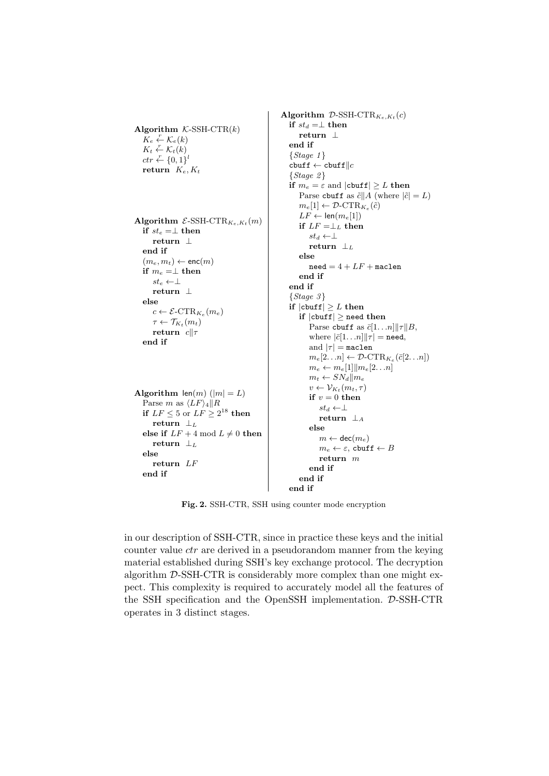```
Algorithm K-SSH-CTR(k)\widetilde{K}_e \overset{r}{\leftarrow} \mathcal{K}_e(k)K_t \leftarrow \mathcal{K}_t(k)ctr \overset{r}{\leftarrow} \{0,1\}^lreturn Ke, Kt
Algorithm \mathcal{E}\text{-SSH-CTR}_{K_e,K_t}(m)if st_e = \perp then
      return ⊥
   end if
   (m_e, m_t) \leftarrow \text{enc}(m)if m_e = \perp then
      ste ←⊥
      return ⊥
   else
       c \leftarrow \mathcal{E}\text{-CTR}_{K_e}(m_e)\tau \leftarrow \mathcal{T}_{K_t}(m_t)return c∥τ
   end if
Algorithm len(m) (|m| = L)
   Parse m as \langle LF \rangle_4 || Rif LF \leq 5 or LF \geq 2^{18} then
      return ⊥L
   else if LF + 4 \mod L \neq 0 then
      return ⊥L
   else
      return LF
   end if
                                                      Algorithm \mathcal{D}\text{-SSH-CTR}_{K_e,K_t}(c)if std =⊥ then
                                                            return ⊥
                                                        end if
                                                         {Stage 1 }
                                                        cbuff ← cbuff∥c
                                                         {Stage 2 }
                                                        if m_e = \varepsilon and |cbuff| \geq L then
                                                            Parse cbuff as \tilde{c}|A (where |\tilde{c}| = L)
                                                             m_e[1] \leftarrow \mathcal{D}\text{-CTR}_{K_e}(\tilde{c})LF \leftarrow \text{len}(m_e[1])if LF = \perp_L then
                                                                std ←⊥
                                                                return ⊥L
                                                            else
                                                                need = 4 + LF + maclen
                                                            end if
                                                        end if
                                                         {Stage 3 }
                                                        if |cbuff| \geq L then
                                                            if |cbuff| ≥ need then
                                                                Parse cbuff as \bar{c}[1 \dots n]\|\tau\|B,
                                                                where |\bar{c}[1...n]||\tau| = need,
                                                                and |\tau| = maclen
                                                                m_e[2...n] \leftarrow \mathcal{D}\text{-CTR}_{K_e}(\bar{c}[2...n])m_e ← m_e[1]|m_e[2...n]m_t \leftarrow SN_d || m_ev \leftarrow \mathcal{V}_{K_t}(m_t, \tau)if v = 0 then
                                                                   std ←⊥
                                                                   return ⊥A
                                                                else
                                                                   m \leftarrow \texttt{dec}(m_e)m_e \leftarrow \varepsilon, cbuff \leftarrow Breturn m
                                                                end if
                                                            end if
                                                        end if
```
**Fig. 2.** SSH-CTR, SSH using counter mode encryption

in our description of SSH-CTR, since in practice these keys and the initial counter value *ctr* are derived in a pseudorandom manner from the keying material established during SSH's key exchange protocol. The decryption algorithm *D*-SSH-CTR is considerably more complex than one might expect. This complexity is required to accurately model all the features of the SSH specification and the OpenSSH implementation. *D*-SSH-CTR operates in 3 distinct stages.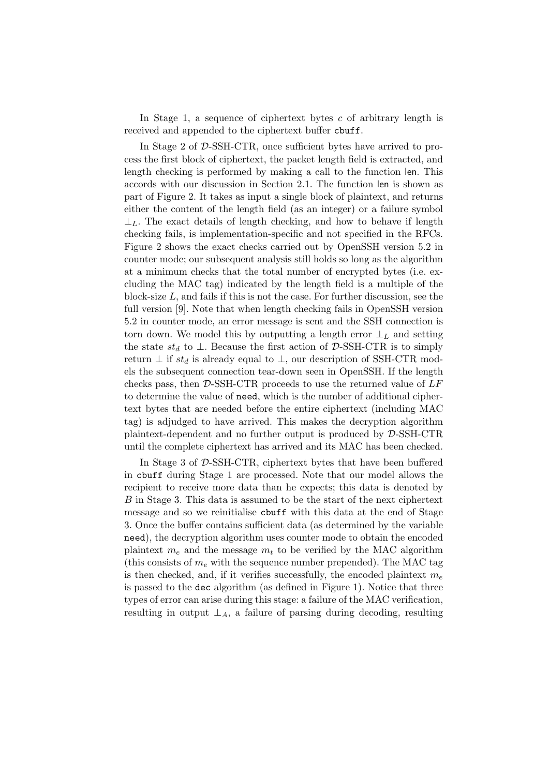In Stage 1, a sequence of ciphertext bytes *c* of arbitrary length is received and appended to the ciphertext buffer cbuff.

In Stage 2 of *D*-SSH-CTR, once sufficient bytes have arrived to process the first block of ciphertext, the packet length field is extracted, and length checking is performed by making a call to the function len. This accords with our discussion in Section 2.1. The function len is shown as part of Figure 2. It takes as input a single block of plaintext, and returns either the content of the length field (as an integer) or a failure symbol *⊥L*. The exact details of length checking, and how to behave if length checking fails, is implementation-specific and not specified in the RFCs. Figure 2 shows the exact checks carried out by OpenSSH version 5.2 in counter mode; our subsequent analysis still holds so long as the algorithm at a minimum checks that the total number of encrypted bytes (i.e. excluding the MAC tag) indicated by the length field is a multiple of the block-size *L*, and fails if this is not the case. For further discussion, see the full version [9]. Note that when length checking fails in OpenSSH version 5.2 in counter mode, an error message is sent and the SSH connection is torn down. We model this by outputting a length error *⊥<sup>L</sup>* and setting the state  $st_d$  to  $\perp$ . Because the first action of *D*-SSH-CTR is to simply return *⊥* if *st<sup>d</sup>* is already equal to *⊥*, our description of SSH-CTR models the subsequent connection tear-down seen in OpenSSH. If the length checks pass, then *D*-SSH-CTR proceeds to use the returned value of *LF* to determine the value of need, which is the number of additional ciphertext bytes that are needed before the entire ciphertext (including MAC tag) is adjudged to have arrived. This makes the decryption algorithm plaintext-dependent and no further output is produced by *D*-SSH-CTR until the complete ciphertext has arrived and its MAC has been checked.

In Stage 3 of *D*-SSH-CTR, ciphertext bytes that have been buffered in cbuff during Stage 1 are processed. Note that our model allows the recipient to receive more data than he expects; this data is denoted by *B* in Stage 3. This data is assumed to be the start of the next ciphertext message and so we reinitialise cbuff with this data at the end of Stage 3. Once the buffer contains sufficient data (as determined by the variable need), the decryption algorithm uses counter mode to obtain the encoded plaintext  $m_e$  and the message  $m_t$  to be verified by the MAC algorithm (this consists of  $m_e$  with the sequence number prepended). The MAC tag is then checked, and, if it verifies successfully, the encoded plaintext *m<sup>e</sup>* is passed to the dec algorithm (as defined in Figure 1). Notice that three types of error can arise during this stage: a failure of the MAC verification, resulting in output  $\perp_A$ , a failure of parsing during decoding, resulting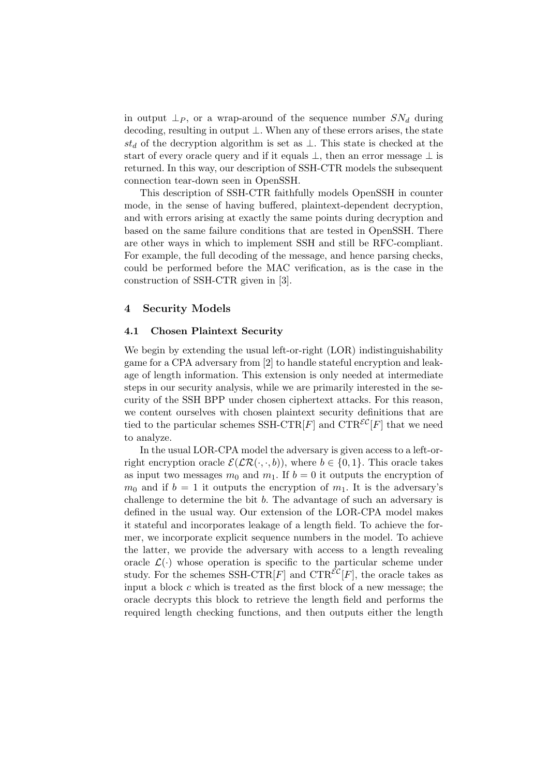in output  $\perp$ *P*, or a wrap-around of the sequence number  $SN_d$  during decoding, resulting in output *⊥*. When any of these errors arises, the state *st<sup>d</sup>* of the decryption algorithm is set as *⊥*. This state is checked at the start of every oracle query and if it equals *⊥*, then an error message *⊥* is returned. In this way, our description of SSH-CTR models the subsequent connection tear-down seen in OpenSSH.

This description of SSH-CTR faithfully models OpenSSH in counter mode, in the sense of having buffered, plaintext-dependent decryption, and with errors arising at exactly the same points during decryption and based on the same failure conditions that are tested in OpenSSH. There are other ways in which to implement SSH and still be RFC-compliant. For example, the full decoding of the message, and hence parsing checks, could be performed before the MAC verification, as is the case in the construction of SSH-CTR given in [3].

# **4 Security Models**

#### **4.1 Chosen Plaintext Security**

We begin by extending the usual left-or-right (LOR) indistinguishability game for a CPA adversary from [2] to handle stateful encryption and leakage of length information. This extension is only needed at intermediate steps in our security analysis, while we are primarily interested in the security of the SSH BPP under chosen ciphertext attacks. For this reason, we content ourselves with chosen plaintext security definitions that are tied to the particular schemes SSH-CTR[*F*] and  $\text{CTR}^{\mathcal{EC}}[F]$  that we need to analyze.

In the usual LOR-CPA model the adversary is given access to a left-orright encryption oracle  $\mathcal{E}(\mathcal{LR}(\cdot,\cdot,b))$ , where  $b \in \{0,1\}$ . This oracle takes as input two messages  $m_0$  and  $m_1$ . If  $b = 0$  it outputs the encryption of  $m_0$  and if  $b = 1$  it outputs the encryption of  $m_1$ . It is the adversary's challenge to determine the bit *b*. The advantage of such an adversary is defined in the usual way. Our extension of the LOR-CPA model makes it stateful and incorporates leakage of a length field. To achieve the former, we incorporate explicit sequence numbers in the model. To achieve the latter, we provide the adversary with access to a length revealing oracle  $\mathcal{L}(\cdot)$  whose operation is specific to the particular scheme under study. For the schemes SSH-CTR[*F*] and CTR<sup> $\mathcal{EC}[F]$ , the oracle takes as</sup> input a block *c* which is treated as the first block of a new message; the oracle decrypts this block to retrieve the length field and performs the required length checking functions, and then outputs either the length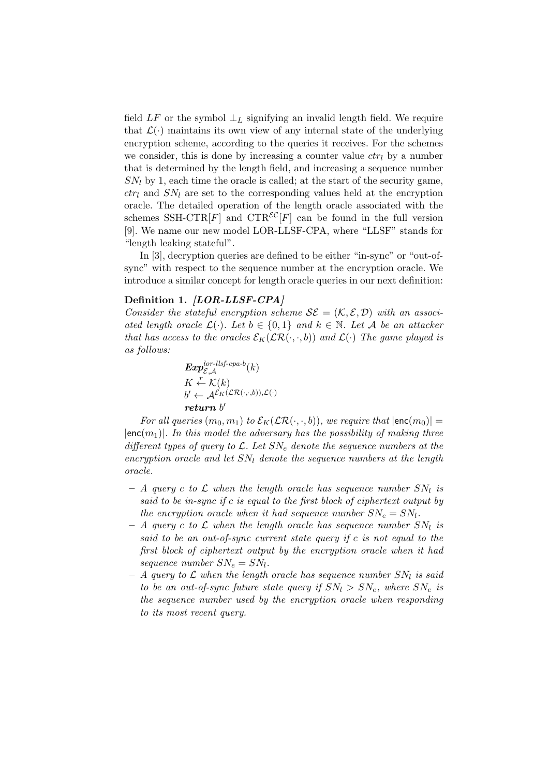field  $LF$  or the symbol  $\perp_L$  signifying an invalid length field. We require that  $\mathcal{L}(\cdot)$  maintains its own view of any internal state of the underlying encryption scheme, according to the queries it receives. For the schemes we consider, this is done by increasing a counter value *ctr<sup>l</sup>* by a number that is determined by the length field, and increasing a sequence number  $SN<sub>l</sub>$  by 1, each time the oracle is called; at the start of the security game,  $ctr<sub>l</sub>$  and  $SN<sub>l</sub>$  are set to the corresponding values held at the encryption oracle. The detailed operation of the length oracle associated with the schemes SSH-CTR[*F*] and CTR<sup> $\mathcal{EC}[F]$  can be found in the full version</sup> [9]. We name our new model LOR-LLSF-CPA, where "LLSF" stands for "length leaking stateful".

In [3], decryption queries are defined to be either "in-sync" or "out-ofsync" with respect to the sequence number at the encryption oracle. We introduce a similar concept for length oracle queries in our next definition:

#### **Definition 1.** *[LOR-LLSF-CPA]*

*Consider the stateful encryption scheme*  $S\mathcal{E} = (\mathcal{K}, \mathcal{E}, \mathcal{D})$  with an associ-*ated length oracle*  $\mathcal{L}(\cdot)$ *. Let*  $b \in \{0,1\}$  *and*  $k \in \mathbb{N}$ *. Let A be an attacker that has access to the oracles*  $\mathcal{E}_K(\mathcal{LR}(\cdot,\cdot,b))$  *and*  $\mathcal{L}(\cdot)$  *The game played is as follows:*

$$
\begin{array}{l} \boldsymbol{Exp}^{lor-llsf-cpa-b}_{\mathcal{E},\mathcal{A}}(k) \\ K \xleftarrow{\mathcal{K}} \mathcal{K}(k) \\ b' \leftarrow \mathcal{A}^{\mathcal{E}_K(\mathcal{LR}(\cdot,\cdot,b)),\mathcal{L}(\cdot)} \\ \boldsymbol{return} \; b' \end{array}
$$

*For all queries*  $(m_0, m_1)$  *to*  $\mathcal{E}_K(\mathcal{LR}(\cdot, \cdot, b))$ *, we require that*  $|\textsf{enc}(m_0)| =$  $|enc(m_1)|$ *. In this model the adversary has the possibility of making three different types of query to L. Let SN<sup>e</sup> denote the sequence numbers at the encryption oracle and let SN<sup>l</sup> denote the sequence numbers at the length oracle.*

- $-$  *A* query  $c$  to  $\mathcal{L}$  when the length oracle has sequence number  $SN_l$  is *said to be in-sync if c is equal to the first block of ciphertext output by the encryption oracle when it had sequence number*  $SN_e = SN_l$ *.*
- $-$  *A* query  $c$  to  $\mathcal{L}$  when the length oracle has sequence number  $SN_l$  is *said to be an out-of-sync current state query if c is not equal to the first block of ciphertext output by the encryption oracle when it had sequence number*  $SN_e = SN_l$ .
- **–** *A query to L when the length oracle has sequence number SN<sup>l</sup> is said to be an out-of-sync future state query if*  $SN_l > SN_e$ , where  $SN_e$  is *the sequence number used by the encryption oracle when responding to its most recent query.*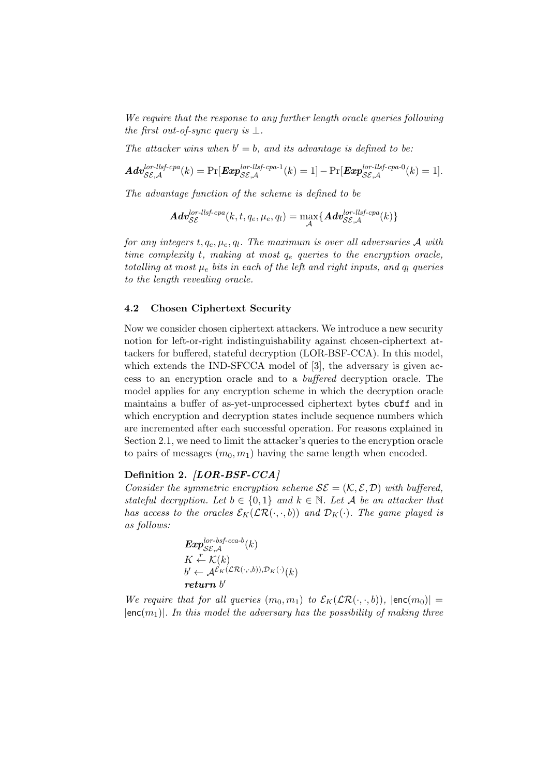*We require that the response to any further length oracle queries following the first out-of-sync query is ⊥.*

*The attacker wins when*  $b' = b$ , and its advantage is defined to be:

$$
\boldsymbol{Adv}_{\mathcal{SE},\mathcal{A}}^{lor-llsf-cpa}(k) = \Pr[\boldsymbol{Exp}_{\mathcal{SE},\mathcal{A}}^{lor-llsf-cpa-1}(k) = 1] - \Pr[\boldsymbol{Exp}_{\mathcal{SE},\mathcal{A}}^{lor-llsf-cpa-0}(k) = 1].
$$

*The advantage function of the scheme is defined to be*

$$
\boldsymbol{Adv}^{lor-llsf-cpa}_{\mathcal{SE}}(k,t,q_e,\mu_e,q_l)=\max_{\mathcal{A}}\{\boldsymbol{Adv}^{lor-llsf-cpa}_{\mathcal{SE},\mathcal{A}}(k)\}
$$

 $f$ or any integers  $t, q_e, \mu_e, q_l$ . The maximum is over all adversaries  ${\cal A}$  with *time complexity t, making at most q<sup>e</sup> queries to the encryption oracle, totalling at most*  $\mu_e$  *bits in each of the left and right inputs, and*  $q_l$  *queries to the length revealing oracle.*

# **4.2 Chosen Ciphertext Security**

Now we consider chosen ciphertext attackers. We introduce a new security notion for left-or-right indistinguishability against chosen-ciphertext attackers for buffered, stateful decryption (LOR-BSF-CCA). In this model, which extends the IND-SFCCA model of [3], the adversary is given access to an encryption oracle and to a *buffered* decryption oracle. The model applies for any encryption scheme in which the decryption oracle maintains a buffer of as-yet-unprocessed ciphertext bytes cbuff and in which encryption and decryption states include sequence numbers which are incremented after each successful operation. For reasons explained in Section 2.1, we need to limit the attacker's queries to the encryption oracle to pairs of messages  $(m_0, m_1)$  having the same length when encoded.

# **Definition 2.** *[LOR-BSF-CCA]*

*Consider the symmetric encryption scheme*  $S\mathcal{E} = (\mathcal{K}, \mathcal{E}, \mathcal{D})$  *with buffered, stateful decryption.* Let  $b \in \{0,1\}$  and  $k \in \mathbb{N}$ . Let A be an attacker that *has access to the oracles*  $\mathcal{E}_K(\mathcal{LR}(\cdot,\cdot,b))$  *and*  $\mathcal{D}_K(\cdot)$ *. The game played is as follows:*

$$
\begin{array}{l}\n\mathbf{Exp}^{lor-bsf\text{-}cca\text{-}b}_{\mathcal{SE},\mathcal{A}}(k) \\
K \xleftarrow{\mathcal{F}} \mathcal{K}(k) \\
b' \leftarrow \mathcal{A}^{\mathcal{E}_K(\mathcal{LR}(\cdot,\cdot,b)),\mathcal{D}_K(\cdot)}(k) \\
\mathbf{return} \; b'\n\end{array}
$$

*We require that for all queries*  $(m_0, m_1)$  *to*  $\mathcal{E}_K(\mathcal{LR}(\cdot, \cdot, b))$ ,  $|\textsf{enc}(m_0)| =$  $|enc(m_1)|$ *. In this model the adversary has the possibility of making three*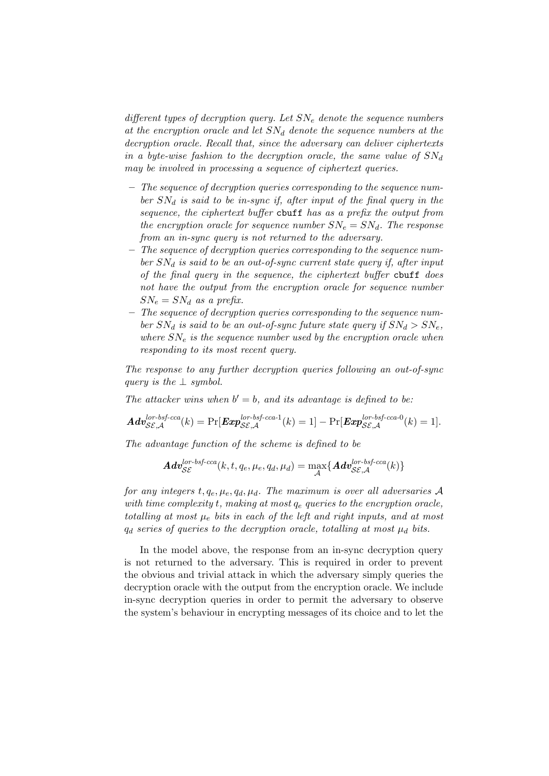*different types of decryption query. Let SN<sup>e</sup> denote the sequence numbers at the encryption oracle and let SN<sup>d</sup> denote the sequence numbers at the decryption oracle. Recall that, since the adversary can deliver ciphertexts in a byte-wise fashion to the decryption oracle, the same value of*  $SN_d$ *may be involved in processing a sequence of ciphertext queries.*

- **–** *The sequence of decryption queries corresponding to the sequence number SN<sup>d</sup> is said to be in-sync if, after input of the final query in the sequence, the ciphertext buffer* cbuff *has as a prefix the output from the encryption oracle for sequence number*  $SN_e = SN_d$ *. The response from an in-sync query is not returned to the adversary.*
- **–** *The sequence of decryption queries corresponding to the sequence number SN<sup>d</sup> is said to be an out-of-sync current state query if, after input of the final query in the sequence, the ciphertext buffer* cbuff *does not have the output from the encryption oracle for sequence number*  $SN_e = SN_d$  *as a prefix.*
- **–** *The sequence of decryption queries corresponding to the sequence number*  $SN_d$  *is said to be an out-of-sync future state query if*  $SN_d > SN_e$ , *where SN<sup>e</sup> is the sequence number used by the encryption oracle when responding to its most recent query.*

*The response to any further decryption queries following an out-of-sync query is the ⊥ symbol.*

*The attacker wins when*  $b' = b$ , and its advantage is defined to be:

$$
\mathbf{Adv}_{\mathcal{SE},\mathcal{A}}^{lor\text{-}bsf\text{-}cca}(k) = \Pr[\mathbf{Exp}_{\mathcal{SE},\mathcal{A}}^{lor\text{-}bsf\text{-}cca-1}(k) = 1] - \Pr[\mathbf{Exp}_{\mathcal{SE},\mathcal{A}}^{lor\text{-}bsf\text{-}cca-0}(k) = 1].
$$

*The advantage function of the scheme is defined to be*

$$
\boldsymbol{Adv}_{\mathcal{SE}}^{lor\text{-}bsf\text{-}cca}(k,t,q_e,\mu_e,q_d,\mu_d) = \max_{\mathcal{A}} \{\boldsymbol{Adv}_{\mathcal{SE},\mathcal{A}}^{lor\text{-}bsf\text{-}cca}(k)\}
$$

*for any integers t, qe, µe, qd, µd. The maximum is over all adversaries A with time complexity t, making at most q<sup>e</sup> queries to the encryption oracle, totalling at most µ<sup>e</sup> bits in each of the left and right inputs, and at most*  $q_d$  *series of queries to the decryption oracle, totalling at most*  $\mu_d$  *bits.* 

In the model above, the response from an in-sync decryption query is not returned to the adversary. This is required in order to prevent the obvious and trivial attack in which the adversary simply queries the decryption oracle with the output from the encryption oracle. We include in-sync decryption queries in order to permit the adversary to observe the system's behaviour in encrypting messages of its choice and to let the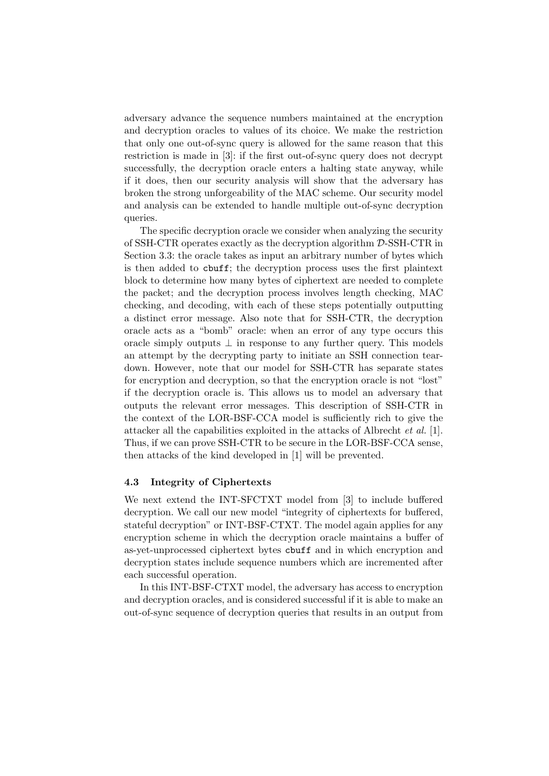adversary advance the sequence numbers maintained at the encryption and decryption oracles to values of its choice. We make the restriction that only one out-of-sync query is allowed for the same reason that this restriction is made in [3]: if the first out-of-sync query does not decrypt successfully, the decryption oracle enters a halting state anyway, while if it does, then our security analysis will show that the adversary has broken the strong unforgeability of the MAC scheme. Our security model and analysis can be extended to handle multiple out-of-sync decryption queries.

The specific decryption oracle we consider when analyzing the security of SSH-CTR operates exactly as the decryption algorithm *D*-SSH-CTR in Section 3.3: the oracle takes as input an arbitrary number of bytes which is then added to cbuff; the decryption process uses the first plaintext block to determine how many bytes of ciphertext are needed to complete the packet; and the decryption process involves length checking, MAC checking, and decoding, with each of these steps potentially outputting a distinct error message. Also note that for SSH-CTR, the decryption oracle acts as a "bomb" oracle: when an error of any type occurs this oracle simply outputs *⊥* in response to any further query. This models an attempt by the decrypting party to initiate an SSH connection teardown. However, note that our model for SSH-CTR has separate states for encryption and decryption, so that the encryption oracle is not "lost" if the decryption oracle is. This allows us to model an adversary that outputs the relevant error messages. This description of SSH-CTR in the context of the LOR-BSF-CCA model is sufficiently rich to give the attacker all the capabilities exploited in the attacks of Albrecht *et al.* [1]. Thus, if we can prove SSH-CTR to be secure in the LOR-BSF-CCA sense, then attacks of the kind developed in [1] will be prevented.

# **4.3 Integrity of Ciphertexts**

We next extend the INT-SFCTXT model from [3] to include buffered decryption. We call our new model "integrity of ciphertexts for buffered, stateful decryption" or INT-BSF-CTXT. The model again applies for any encryption scheme in which the decryption oracle maintains a buffer of as-yet-unprocessed ciphertext bytes cbuff and in which encryption and decryption states include sequence numbers which are incremented after each successful operation.

In this INT-BSF-CTXT model, the adversary has access to encryption and decryption oracles, and is considered successful if it is able to make an out-of-sync sequence of decryption queries that results in an output from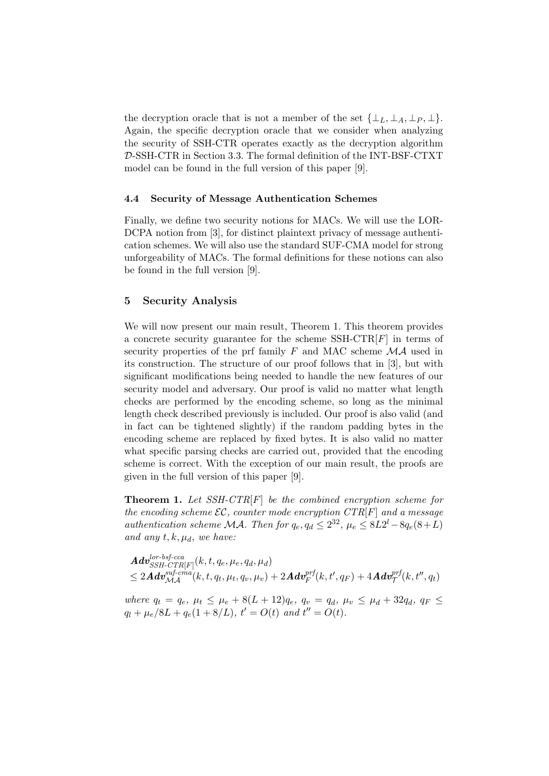the decryption oracle that is not a member of the set  $\{\perp_L, \perp_A, \perp_P, \perp\}$ . Again, the specific decryption oracle that we consider when analyzing the security of SSH-CTR operates exactly as the decryption algorithm *D*-SSH-CTR in Section 3.3. The formal definition of the INT-BSF-CTXT model can be found in the full version of this paper [9].

#### **4.4 Security of Message Authentication Schemes**

Finally, we define two security notions for MACs. We will use the LOR-DCPA notion from [3], for distinct plaintext privacy of message authentication schemes. We will also use the standard SUF-CMA model for strong unforgeability of MACs. The formal definitions for these notions can also be found in the full version [9].

# **5 Security Analysis**

We will now present our main result, Theorem 1. This theorem provides a concrete security guarantee for the scheme SSH-CTR[*F*] in terms of security properties of the prf family *F* and MAC scheme *MA* used in its construction. The structure of our proof follows that in [3], but with significant modifications being needed to handle the new features of our security model and adversary. Our proof is valid no matter what length checks are performed by the encoding scheme, so long as the minimal length check described previously is included. Our proof is also valid (and in fact can be tightened slightly) if the random padding bytes in the encoding scheme are replaced by fixed bytes. It is also valid no matter what specific parsing checks are carried out, provided that the encoding scheme is correct. With the exception of our main result, the proofs are given in the full version of this paper [9].

**Theorem 1.** *Let SSH-CTR*[*F*] *be the combined encryption scheme for the encoding scheme EC, counter mode encryption CTR*[*F*] *and a message authentication scheme MA. Then for*  $q_e, q_d \leq 2^{32}, \mu_e \leq 8L2^l - 8q_e(8+L)$ *and any*  $t, k, \mu_d$ *, we have:* 

$$
\begin{array}{l}\boldsymbol{Adv}_{SSH-CTR[F]}^{lor-bsf-cca}(k,t,q_e,\mu_e,q_d,\mu_d) \\ \leq 2\boldsymbol{Adv}_{\mathcal{MA}}^{suf-cma}(k,t,q_t,\mu_t,q_v,\mu_v)+2\boldsymbol{Adv}_{F}^{prf}(k,t',q_F)+4\boldsymbol{Adv}_{\mathcal{T}}^{prf}(k,t'',q_t)\end{array}
$$

where  $q_t = q_e$ ,  $\mu_t \leq \mu_e + 8(L+12)q_e$ ,  $q_v = q_d$ ,  $\mu_v \leq \mu_d + 32q_d$ ,  $q_F \leq$  $q_l + \mu_e/8L + q_e(1 + 8/L), t' = O(t)$  and  $t'' = O(t)$ .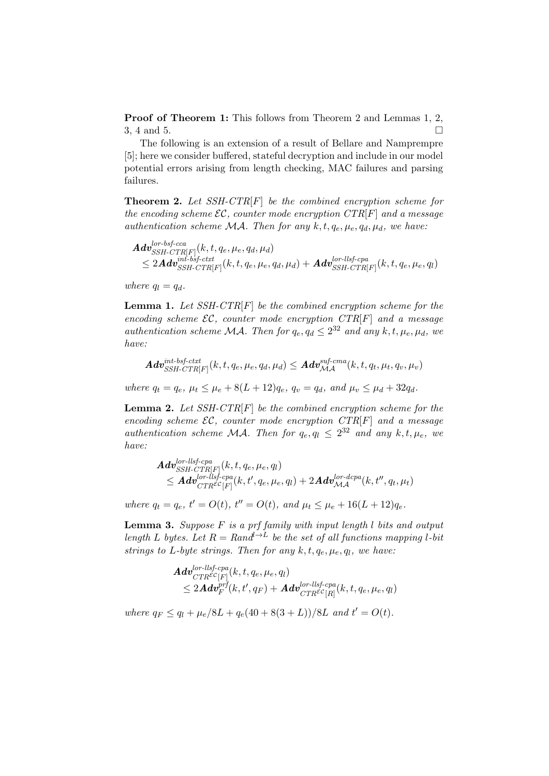**Proof of Theorem 1:** This follows from Theorem 2 and Lemmas 1, 2, 3, 4 and 5.

The following is an extension of a result of Bellare and Namprempre [5]; here we consider buffered, stateful decryption and include in our model potential errors arising from length checking, MAC failures and parsing failures.

**Theorem 2.** *Let SSH-CTR*[*F*] *be the combined encryption scheme for the encoding scheme EC, counter mode encryption CTR*[*F*] *and a message authentication scheme*  $\mathcal{MA}$ *. Then for any*  $k, t, q_e, \mu_e, q_d, \mu_d$ *, we have:* 

$$
\begin{array}{l}\boldsymbol{Adv}^{lor-bsf\text{-}cas}_{\text{SSH-CTR}[F]}(k,t,q_e,\mu_e,q_d,\mu_d)\\ \leq 2\boldsymbol{Adv}^{int-bsf\text{-}cxt}_{\text{SSH-CTR}[F]}(k,t,q_e,\mu_e,q_d,\mu_d)+\boldsymbol{Adv}^{lor\text{-}llsf\text{-}cpa}_{\text{SSH-CTR}[F]}(k,t,q_e,\mu_e,q_l) \end{array}
$$

*where*  $q_l = q_d$ *.* 

**Lemma 1.** *Let SSH-CTR*[*F*] *be the combined encryption scheme for the encoding scheme EC, counter mode encryption CTR*[*F*] *and a message authentication scheme*  $\mathcal{MA}$ *. Then for*  $q_e, q_d \leq 2^{32}$  *and any*  $k, t, \mu_e, \mu_d$ *, we have:*

$$
\boldsymbol{Adv}_{SSH-CTR[F]}^{int-bsf-ctxt}(k,t,q_e,\mu_e,q_d,\mu_d) \leq \boldsymbol{Adv}_{\mathcal{MA}}^{suf-cma}(k,t,q_t,\mu_t,q_v,\mu_v)
$$

where  $q_t = q_e$ ,  $\mu_t \le \mu_e + 8(L+12)q_e$ ,  $q_v = q_d$ , and  $\mu_v \le \mu_d + 32q_d$ .

**Lemma 2.** *Let SSH-CTR*[*F*] *be the combined encryption scheme for the encoding scheme EC, counter mode encryption CTR*[*F*] *and a message authentication scheme*  $\mathcal{MA}$ *. Then for*  $q_e, q_l \leq 2^{32}$  *and any*  $k, t, \mu_e$ *, we have:*

$$
\begin{array}{l}\boldsymbol{Adv}^{lor-llsf-cpa}_{SSH-CTR[F]}(k,t,q_e,\mu_e,q_l)\\ \leq \boldsymbol{Adv}^{lor-llsf-cpa}_{CTR^{\mathcal{LC}[F]}}(k,t',q_e,\mu_e,q_l)+2\boldsymbol{Adv}^{lor-dcpa}_{\mathcal{MA}}(k,t'',q_t,\mu_t)\end{array}
$$

where  $q_t = q_e$ ,  $t' = O(t)$ ,  $t'' = O(t)$ , and  $\mu_t \leq \mu_e + 16(L + 12)q_e$ .

**Lemma 3.** *Suppose F is a prf family with input length l bits and output length L bytes.* Let  $R = Rand^{\rightarrow L}$  *be the set of all functions mapping l-bit strings to L-byte strings. Then for any*  $k, t, q_e, \mu_e, q_l$ , we have:

$$
\begin{array}{l}\boldsymbol{A}\boldsymbol{dv}_{CTR}^{lor-llsf-cpa}(k,t,q_e,\mu_e,q_l)\\ \leq 2\boldsymbol{A} \boldsymbol{dv}_{F}^{prf}(k,t',q_F)+\boldsymbol{A} \boldsymbol{dv}_{CTR}^{lor-llsf-cpa}(k,t,q_e,\mu_e,q_l)\end{array}
$$

*where*  $q_F \leq q_l + \mu_e/8L + q_e(40 + 8(3 + L))/8L$  *and*  $t' = O(t)$ *.*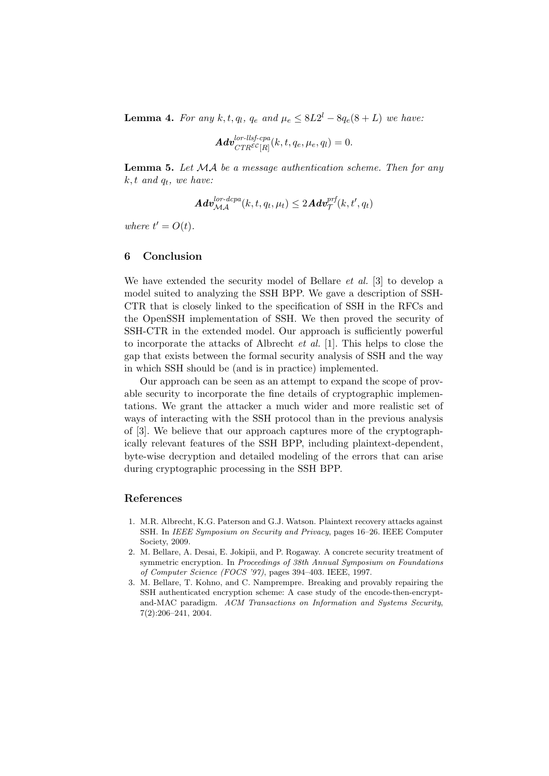**Lemma 4.** For any  $k, t, q_l, q_e$  and  $\mu_e \leq 8L2^l - 8q_e(8 + L)$  we have:

$$
\boldsymbol{Adv}_{CTR}^{lor-llsf-cpa}(k,t,q_e,\mu_e,q_l)=0.
$$

**Lemma 5.** *Let MA be a message authentication scheme. Then for any*  $k, t$  *and*  $q_t$ *, we have:* 

$$
\boldsymbol{Adv_{\mathcal{MA}}^{lor-depa}(k,t,q_t,\mu_t)\leq 2\boldsymbol{Adv_T^{prf}(k,t',q_t)}
$$

*where*  $t' = O(t)$ *.* 

# **6 Conclusion**

We have extended the security model of Bellare *et al.* [3] to develop a model suited to analyzing the SSH BPP. We gave a description of SSH-CTR that is closely linked to the specification of SSH in the RFCs and the OpenSSH implementation of SSH. We then proved the security of SSH-CTR in the extended model. Our approach is sufficiently powerful to incorporate the attacks of Albrecht *et al.* [1]. This helps to close the gap that exists between the formal security analysis of SSH and the way in which SSH should be (and is in practice) implemented.

Our approach can be seen as an attempt to expand the scope of provable security to incorporate the fine details of cryptographic implementations. We grant the attacker a much wider and more realistic set of ways of interacting with the SSH protocol than in the previous analysis of [3]. We believe that our approach captures more of the cryptographically relevant features of the SSH BPP, including plaintext-dependent, byte-wise decryption and detailed modeling of the errors that can arise during cryptographic processing in the SSH BPP.

#### **References**

- 1. M.R. Albrecht, K.G. Paterson and G.J. Watson. Plaintext recovery attacks against SSH. In *IEEE Symposium on Security and Privacy*, pages 16–26. IEEE Computer Society, 2009.
- 2. M. Bellare, A. Desai, E. Jokipii, and P. Rogaway. A concrete security treatment of symmetric encryption. In *Proceedings of 38th Annual Symposium on Foundations of Computer Science (FOCS '97)*, pages 394–403. IEEE, 1997.
- 3. M. Bellare, T. Kohno, and C. Namprempre. Breaking and provably repairing the SSH authenticated encryption scheme: A case study of the encode-then-encryptand-MAC paradigm. *ACM Transactions on Information and Systems Security*, 7(2):206–241, 2004.